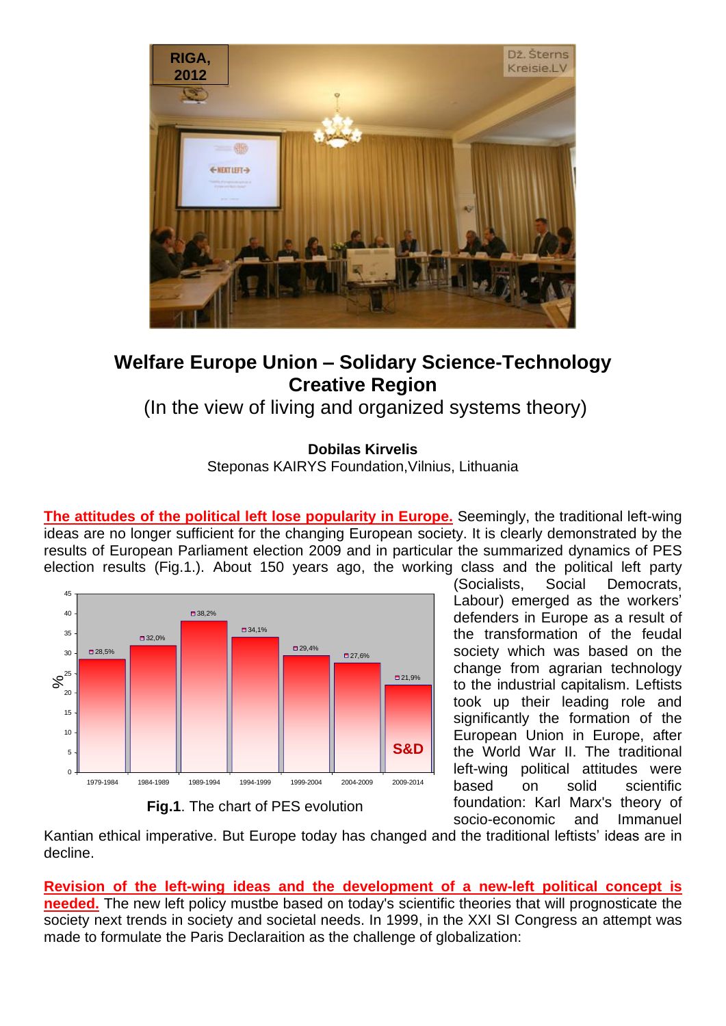

## **Welfare Europe Union – Solidary Science-Technology Creative Region**

(In the view of living and organized systems theory)

**Dobilas Kirvelis**

Steponas KAIRYS Foundation,Vilnius, Lithuania

**The attitudes of the political left lose popularity in Europe.** Seemingly, the traditional left-wing ideas are no longer sufficient for the changing European society. It is clearly demonstrated by the results of European Parliament election 2009 and in particular the summarized dynamics of PES election results (Fig.1.). About 150 years ago, the working class and the political left party



**Fig.1**. The chart of PES evolution

(Socialists, Social Democrats, Labour) emerged as the workers' defenders in Europe as a result of the transformation of the feudal society which was based on the change from agrarian technology to the industrial capitalism. Leftists took up their leading role and significantly the formation of the European Union in Europe, after the World War II. The traditional left-wing political attitudes were based on solid scientific foundation: Karl Marx's theory of socio-economic and Immanuel

Kantian ethical imperative. But Europe today has changed and the traditional leftists' ideas are in decline.

**Revision of the left-wing ideas and the development of a new-left political concept is needed.** The new left policy mustbe based on today's scientific theories that will prognosticate the society next trends in society and societal needs. In 1999, in the XXI SI Congress an attempt was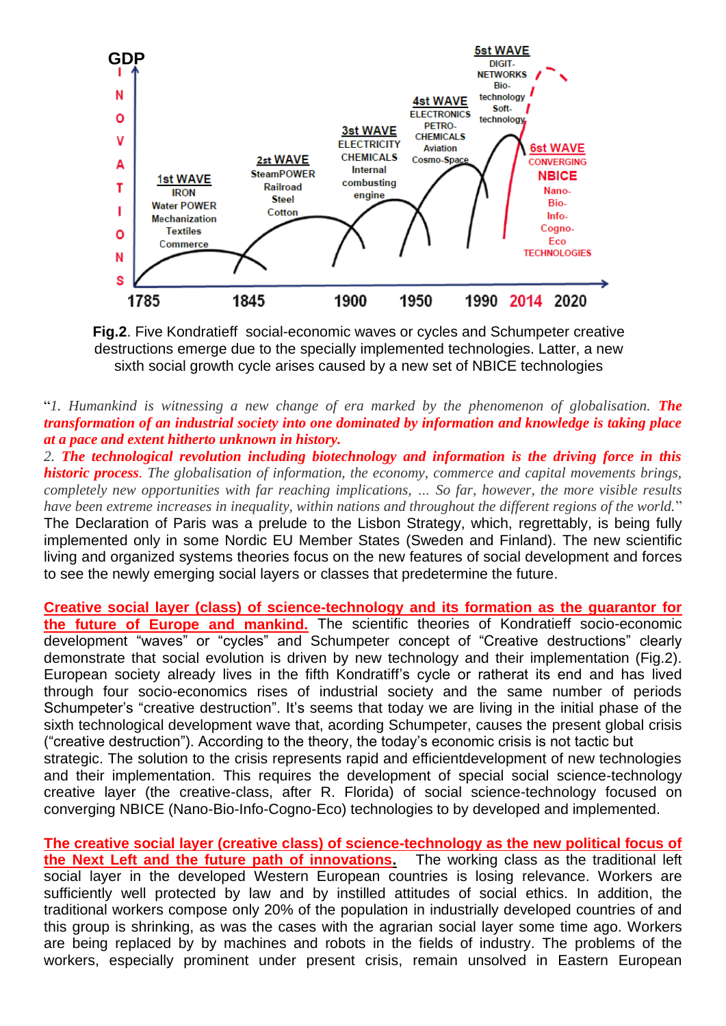

**Fig.2**. Five Kondratieff social-economic waves or cycles and Schumpeter creative destructions emerge due to the specially implemented technologies. Latter, a new sixth social growth cycle arises caused by a new set of NBICE technologies

"*1. Humankind is witnessing a new change of era marked by the phenomenon of globalisation. The transformation of an industrial society into one dominated by information and knowledge is taking place at a pace and extent hitherto unknown in history.*

*2. The technological revolution including biotechnology and information is the driving force in this historic process. The globalisation of information, the economy, commerce and capital movements brings, completely new opportunities with far reaching implications, … So far, however, the more visible results have been extreme increases in inequality, within nations and throughout the different regions of the world.*" The Declaration of Paris was a prelude to the Lisbon Strategy, which, regrettably, is being fully implemented only in some Nordic EU Member States (Sweden and Finland). The new scientific living and organized systems theories focus on the new features of social development and forces to see the newly emerging social layers or classes that predetermine the future.

**Creative social layer (class) of science-technology and its formation as the guarantor for the future of Europe and mankind.** The scientific theories of Kondratieff socio-economic development "waves" or "cycles" and Schumpeter concept of "Creative destructions" clearly demonstrate that social evolution is driven by new technology and their implementation (Fig.2). European society already lives in the fifth Kondratiff's cycle or ratherat its end and has lived through four socio-economics rises of industrial society and the same number of periods Schumpeter's "creative destruction". It's seems that today we are living in the initial phase of the sixth technological development wave that, acording Schumpeter, causes the present global crisis ("creative destruction"). According to the theory, the today's economic crisis is not tactic but strategic. The solution to the crisis represents rapid and efficientdevelopment of new technologies and their implementation. This requires the development of special social science-technology creative layer (the creative-class, after R. Florida) of social science-technology focused on converging NBICE (Nano-Bio-Info-Cogno-Eco) technologies to by developed and implemented.

**The creative social layer (creative class) of science-technology as the new political focus of the Next Left and the future path of innovations.** The working class as the traditional left social layer in the developed Western European countries is losing relevance. Workers are sufficiently well protected by law and by instilled attitudes of social ethics. In addition, the traditional workers compose only 20% of the population in industrially developed countries of and this group is shrinking, as was the cases with the agrarian social layer some time ago. Workers are being replaced by by machines and robots in the fields of industry. The problems of the workers, especially prominent under present crisis, remain unsolved in Eastern European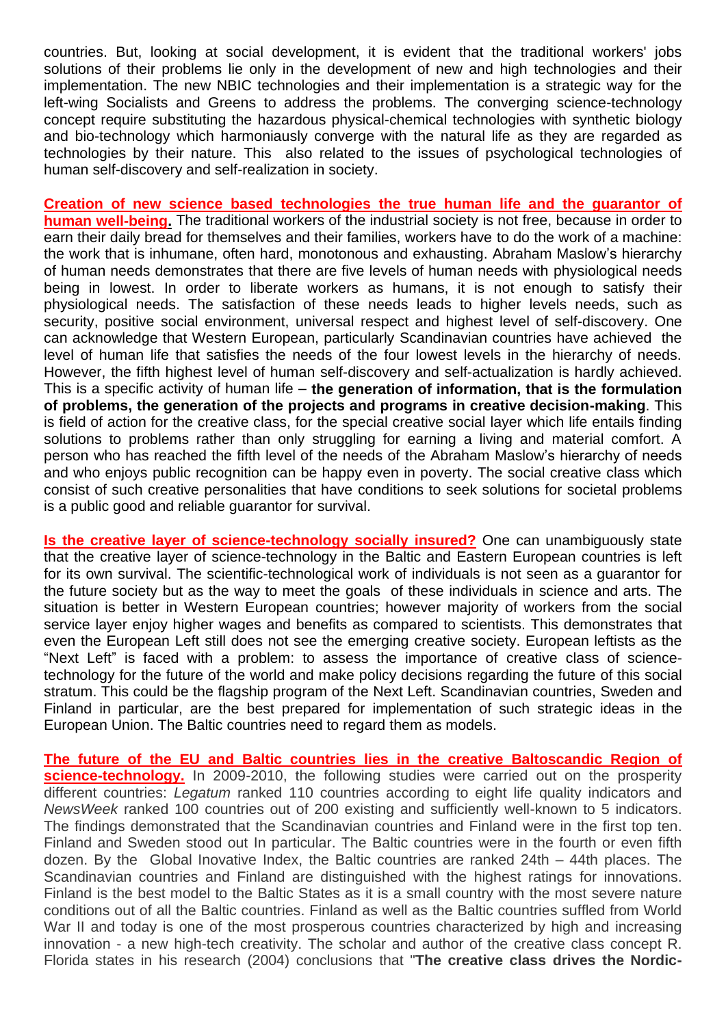countries. But, looking at social development, it is evident that the traditional workers' jobs solutions of their problems lie only in the development of new and high technologies and their implementation. The new NBIC technologies and their implementation is a strategic way for the left-wing Socialists and Greens to address the problems. The converging science-technology concept require substituting the hazardous physical-chemical technologies with synthetic biology and bio-technology which harmoniausly converge with the natural life as they are regarded as technologies by their nature. This also related to the issues of psychological technologies of human self-discovery and self-realization in society.

**Creation of new science based technologies the true human life and the guarantor of human well-being.** The traditional workers of the industrial society is not free, because in order to earn their daily bread for themselves and their families, workers have to do the work of a machine: the work that is inhumane, often hard, monotonous and exhausting. Abraham Maslow's hierarchy of human needs demonstrates that there are five levels of human needs with physiological needs being in lowest. In order to liberate workers as humans, it is not enough to satisfy their physiological needs. The satisfaction of these needs leads to higher levels needs, such as security, positive social environment, universal respect and highest level of self-discovery. One can acknowledge that Western European, particularly Scandinavian countries have achieved the level of human life that satisfies the needs of the four lowest levels in the hierarchy of needs. However, the fifth highest level of human self-discovery and self-actualization is hardly achieved. This is a specific activity of human life – **the generation of information, that is the formulation of problems, the generation of the projects and programs in creative decision-making**. This is field of action for the creative class, for the special creative social layer which life entails finding solutions to problems rather than only struggling for earning a living and material comfort. A person who has reached the fifth level of the needs of the Abraham Maslow's hierarchy of needs and who enjoys public recognition can be happy even in poverty. The social creative class which consist of such creative personalities that have conditions to seek solutions for societal problems is a public good and reliable guarantor for survival.

**Is the creative layer of science-technology socially insured?** One can unambiguously state that the creative layer of science-technology in the Baltic and Eastern European countries is left for its own survival. The scientific-technological work of individuals is not seen as a guarantor for the future society but as the way to meet the goals of these individuals in science and arts. The situation is better in Western European countries; however majority of workers from the social service layer enjoy higher wages and benefits as compared to scientists. This demonstrates that even the European Left still does not see the emerging creative society. European leftists as the "Next Left" is faced with a problem: to assess the importance of creative class of sciencetechnology for the future of the world and make policy decisions regarding the future of this social stratum. This could be the flagship program of the Next Left. Scandinavian countries, Sweden and Finland in particular, are the best prepared for implementation of such strategic ideas in the European Union. The Baltic countries need to regard them as models.

**The future of the EU and Baltic countries lies in the creative Baltoscandic Region of science-technology.** In 2009-2010, the following studies were carried out on the prosperity different countries: *Legatum* ranked 110 countries according to eight life quality indicators and *NewsWeek* ranked 100 countries out of 200 existing and sufficiently well-known to 5 indicators. The findings demonstrated that the Scandinavian countries and Finland were in the first top ten. Finland and Sweden stood out In particular. The Baltic countries were in the fourth or even fifth dozen. By the Global Inovative Index, the Baltic countries are ranked 24th – 44th places. The Scandinavian countries and Finland are distinguished with the highest ratings for innovations. Finland is the best model to the Baltic States as it is a small country with the most severe nature conditions out of all the Baltic countries. Finland as well as the Baltic countries suffled from World War II and today is one of the most prosperous countries characterized by high and increasing innovation - a new high-tech creativity. The scholar and author of the creative class concept R. Florida states in his research (2004) conclusions that "**The creative class drives the Nordic-**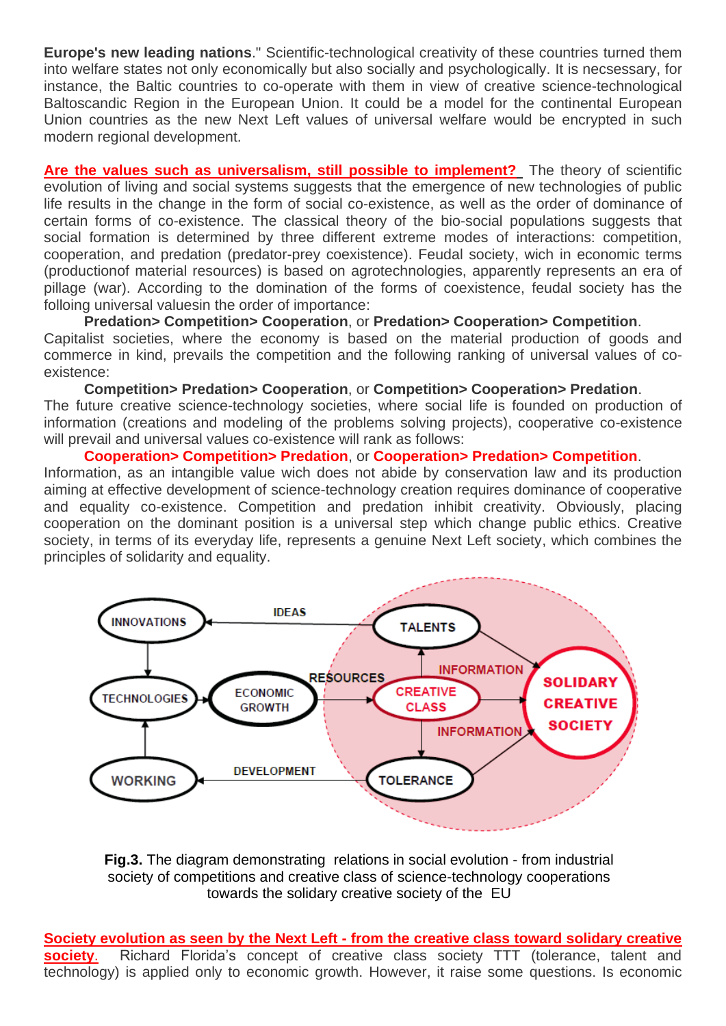**Europe's new leading nations**." Scientific-technological creativity of these countries turned them into welfare states not only economically but also socially and psychologically. It is necsessary, for instance, the Baltic countries to co-operate with them in view of creative science-technological Baltoscandic Region in the European Union. It could be a model for the continental European Union countries as the new Next Left values of universal welfare would be encrypted in such modern regional development.

**Are the values such as universalism, still possible to implement?** The theory of scientific evolution of living and social systems suggests that the emergence of new technologies of public life results in the change in the form of social co-existence, as well as the order of dominance of certain forms of co-existence. The classical theory of the bio-social populations suggests that social formation is determined by three different extreme modes of interactions: competition, cooperation, and predation (predator-prey coexistence). Feudal society, wich in economic terms (productionof material resources) is based on agrotechnologies, apparently represents an era of pillage (war). According to the domination of the forms of coexistence, feudal society has the folloing universal valuesin the order of importance:

**Predation> Competition> Cooperation**, or **Predation> Cooperation> Competition**. Capitalist societies, where the economy is based on the material production of goods and commerce in kind, prevails the competition and the following ranking of universal values of coexistence:

**Competition> Predation> Cooperation**, or **Competition> Cooperation> Predation**. The future creative science-technology societies, where social life is founded on production of information (creations and modeling of the problems solving projects), cooperative co-existence will prevail and universal values co-existence will rank as follows:

## **Cooperation> Competition> Predation**, or **Cooperation> Predation> Competition**.

Information, as an intangible value wich does not abide by conservation law and its production aiming at effective development of science-technology creation requires dominance of cooperative and equality co-existence. Competition and predation inhibit creativity. Obviously, placing cooperation on the dominant position is a universal step which change public ethics. Creative society, in terms of its everyday life, represents a genuine Next Left society, which combines the principles of solidarity and equality.



**Fig.3.** The diagram demonstrating relations in social evolution - from industrial society of competitions and creative class of science-technology cooperations towards the solidary creative society of the EU

**Society evolution as seen by the Next Left - from the creative class toward solidary creative society**. Richard Florida's concept of creative class society TTT (tolerance, talent and technology) is applied only to economic growth. However, it raise some questions. Is economic